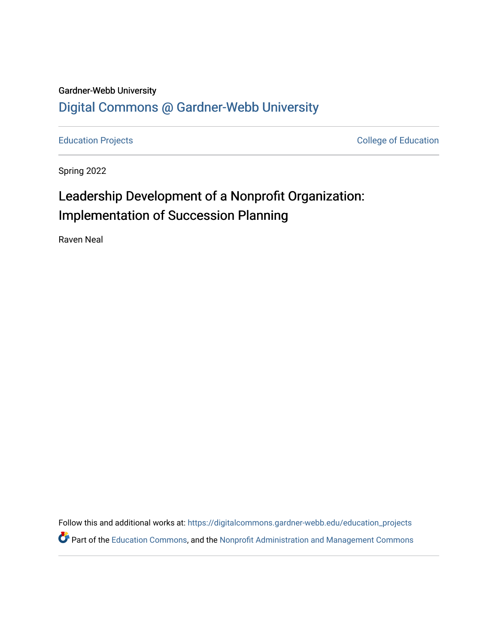### Gardner-Webb University [Digital Commons @ Gardner-Webb University](https://digitalcommons.gardner-webb.edu/)

[Education Projects](https://digitalcommons.gardner-webb.edu/education_projects) **College of Education** 

Spring 2022

## Leadership Development of a Nonprofit Organization: Implementation of Succession Planning

Raven Neal

Follow this and additional works at: [https://digitalcommons.gardner-webb.edu/education\\_projects](https://digitalcommons.gardner-webb.edu/education_projects?utm_source=digitalcommons.gardner-webb.edu%2Feducation_projects%2F29&utm_medium=PDF&utm_campaign=PDFCoverPages)  **Part of the [Education Commons](http://network.bepress.com/hgg/discipline/784?utm_source=digitalcommons.gardner-webb.edu%2Feducation_projects%2F29&utm_medium=PDF&utm_campaign=PDFCoverPages), and the Nonprofit Administration and Management Commons**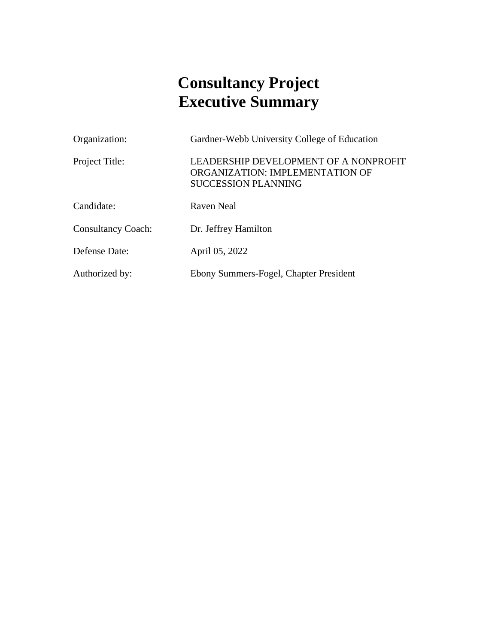## **Consultancy Project Executive Summary**

| Organization:             | Gardner-Webb University College of Education                                                           |
|---------------------------|--------------------------------------------------------------------------------------------------------|
| Project Title:            | LEADERSHIP DEVELOPMENT OF A NONPROFIT<br>ORGANIZATION: IMPLEMENTATION OF<br><b>SUCCESSION PLANNING</b> |
| Candidate:                | Raven Neal                                                                                             |
| <b>Consultancy Coach:</b> | Dr. Jeffrey Hamilton                                                                                   |
| Defense Date:             | April 05, 2022                                                                                         |
| Authorized by:            | Ebony Summers-Fogel, Chapter President                                                                 |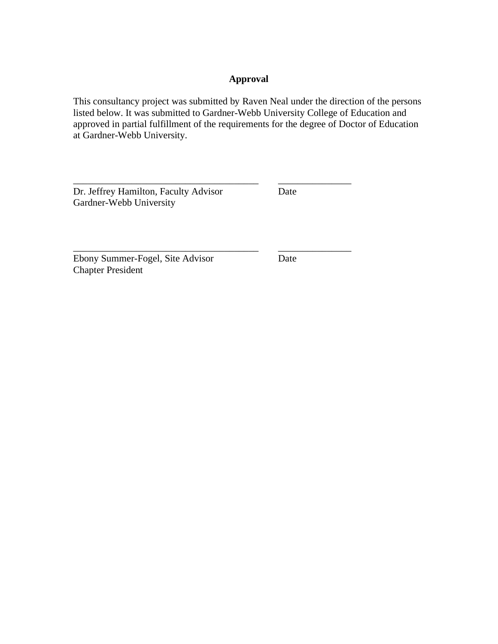#### **Approval**

This consultancy project was submitted by Raven Neal under the direction of the persons listed below. It was submitted to Gardner-Webb University College of Education and approved in partial fulfillment of the requirements for the degree of Doctor of Education at Gardner-Webb University.

Dr. Jeffrey Hamilton, Faculty Advisor Date Gardner-Webb University

\_\_\_\_\_\_\_\_\_\_\_\_\_\_\_\_\_\_\_\_\_\_\_\_\_\_\_\_\_\_\_\_\_\_\_\_\_\_ \_\_\_\_\_\_\_\_\_\_\_\_\_\_\_

Ebony Summer-Fogel, Site Advisor Date Chapter President

\_\_\_\_\_\_\_\_\_\_\_\_\_\_\_\_\_\_\_\_\_\_\_\_\_\_\_\_\_\_\_\_\_\_\_\_\_\_ \_\_\_\_\_\_\_\_\_\_\_\_\_\_\_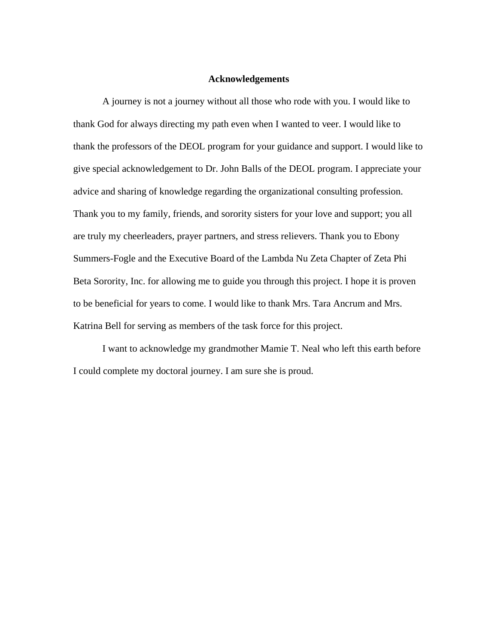#### **Acknowledgements**

A journey is not a journey without all those who rode with you. I would like to thank God for always directing my path even when I wanted to veer. I would like to thank the professors of the DEOL program for your guidance and support. I would like to give special acknowledgement to Dr. John Balls of the DEOL program. I appreciate your advice and sharing of knowledge regarding the organizational consulting profession. Thank you to my family, friends, and sorority sisters for your love and support; you all are truly my cheerleaders, prayer partners, and stress relievers. Thank you to Ebony Summers-Fogle and the Executive Board of the Lambda Nu Zeta Chapter of Zeta Phi Beta Sorority, Inc. for allowing me to guide you through this project. I hope it is proven to be beneficial for years to come. I would like to thank Mrs. Tara Ancrum and Mrs. Katrina Bell for serving as members of the task force for this project.

I want to acknowledge my grandmother Mamie T. Neal who left this earth before I could complete my doctoral journey. I am sure she is proud.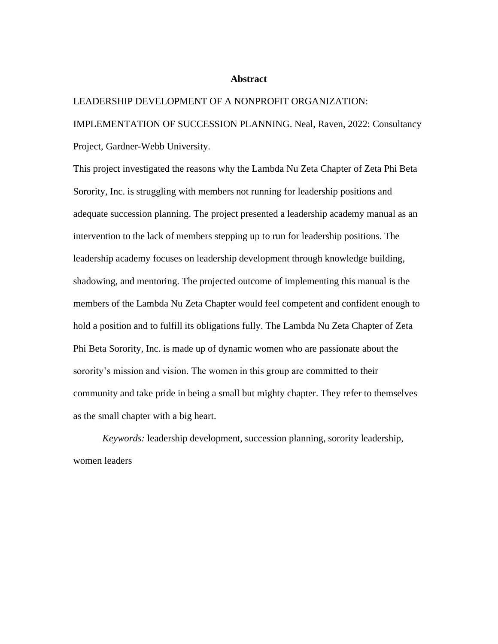#### **Abstract**

#### LEADERSHIP DEVELOPMENT OF A NONPROFIT ORGANIZATION:

IMPLEMENTATION OF SUCCESSION PLANNING. Neal, Raven, 2022: Consultancy Project, Gardner-Webb University.

This project investigated the reasons why the Lambda Nu Zeta Chapter of Zeta Phi Beta Sorority, Inc. is struggling with members not running for leadership positions and adequate succession planning. The project presented a leadership academy manual as an intervention to the lack of members stepping up to run for leadership positions. The leadership academy focuses on leadership development through knowledge building, shadowing, and mentoring. The projected outcome of implementing this manual is the members of the Lambda Nu Zeta Chapter would feel competent and confident enough to hold a position and to fulfill its obligations fully. The Lambda Nu Zeta Chapter of Zeta Phi Beta Sorority, Inc. is made up of dynamic women who are passionate about the sorority's mission and vision. The women in this group are committed to their community and take pride in being a small but mighty chapter. They refer to themselves as the small chapter with a big heart.

*Keywords:* leadership development, succession planning, sorority leadership, women leaders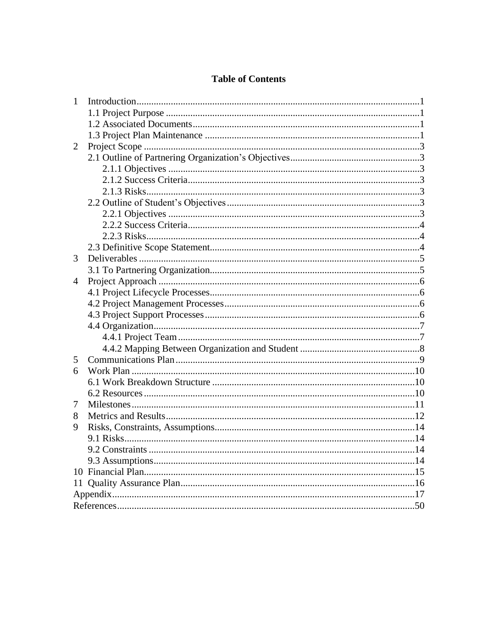#### **Table of Contents**

| 2<br>3<br>$\overline{4}$<br>5<br>6<br>7<br>8<br>9 | $\mathbf{1}$ |  |
|---------------------------------------------------|--------------|--|
|                                                   |              |  |
|                                                   |              |  |
|                                                   |              |  |
|                                                   |              |  |
|                                                   |              |  |
|                                                   |              |  |
|                                                   |              |  |
|                                                   |              |  |
|                                                   |              |  |
|                                                   |              |  |
|                                                   |              |  |
|                                                   |              |  |
|                                                   |              |  |
|                                                   |              |  |
|                                                   |              |  |
|                                                   |              |  |
|                                                   |              |  |
|                                                   |              |  |
|                                                   |              |  |
|                                                   |              |  |
|                                                   |              |  |
|                                                   |              |  |
|                                                   |              |  |
|                                                   |              |  |
|                                                   |              |  |
|                                                   |              |  |
|                                                   |              |  |
|                                                   |              |  |
|                                                   |              |  |
|                                                   |              |  |
|                                                   |              |  |
|                                                   |              |  |
|                                                   |              |  |
|                                                   |              |  |
|                                                   |              |  |
|                                                   |              |  |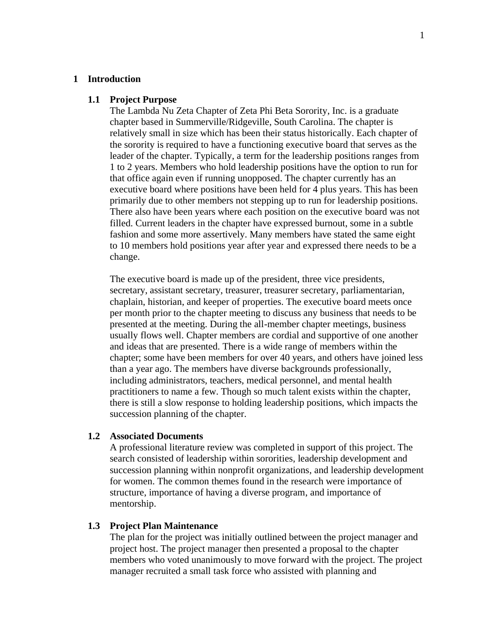#### **1 Introduction**

#### **1.1 Project Purpose**

The Lambda Nu Zeta Chapter of Zeta Phi Beta Sorority, Inc. is a graduate chapter based in Summerville/Ridgeville, South Carolina. The chapter is relatively small in size which has been their status historically. Each chapter of the sorority is required to have a functioning executive board that serves as the leader of the chapter. Typically, a term for the leadership positions ranges from 1 to 2 years. Members who hold leadership positions have the option to run for that office again even if running unopposed. The chapter currently has an executive board where positions have been held for 4 plus years. This has been primarily due to other members not stepping up to run for leadership positions. There also have been years where each position on the executive board was not filled. Current leaders in the chapter have expressed burnout, some in a subtle fashion and some more assertively. Many members have stated the same eight to 10 members hold positions year after year and expressed there needs to be a change.

The executive board is made up of the president, three vice presidents, secretary, assistant secretary, treasurer, treasurer secretary, parliamentarian, chaplain, historian, and keeper of properties. The executive board meets once per month prior to the chapter meeting to discuss any business that needs to be presented at the meeting. During the all-member chapter meetings, business usually flows well. Chapter members are cordial and supportive of one another and ideas that are presented. There is a wide range of members within the chapter; some have been members for over 40 years, and others have joined less than a year ago. The members have diverse backgrounds professionally, including administrators, teachers, medical personnel, and mental health practitioners to name a few. Though so much talent exists within the chapter, there is still a slow response to holding leadership positions, which impacts the succession planning of the chapter.

#### **1.2 Associated Documents**

A professional literature review was completed in support of this project. The search consisted of leadership within sororities, leadership development and succession planning within nonprofit organizations, and leadership development for women. The common themes found in the research were importance of structure, importance of having a diverse program, and importance of mentorship.

#### **1.3 Project Plan Maintenance**

The plan for the project was initially outlined between the project manager and project host. The project manager then presented a proposal to the chapter members who voted unanimously to move forward with the project. The project manager recruited a small task force who assisted with planning and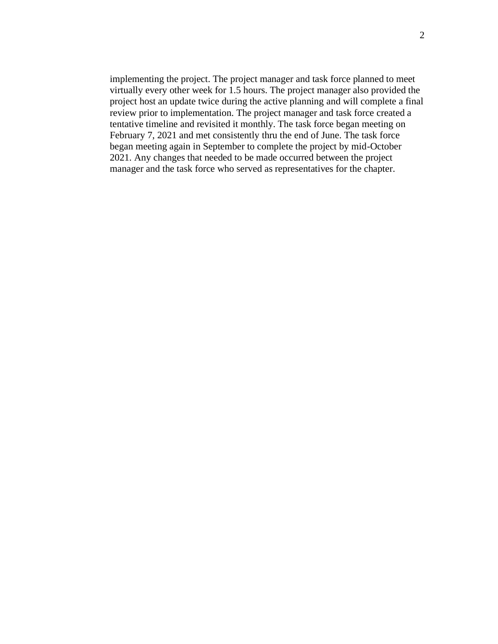implementing the project. The project manager and task force planned to meet virtually every other week for 1.5 hours. The project manager also provided the project host an update twice during the active planning and will complete a final review prior to implementation. The project manager and task force created a tentative timeline and revisited it monthly. The task force began meeting on February 7, 2021 and met consistently thru the end of June. The task force began meeting again in September to complete the project by mid-October 2021. Any changes that needed to be made occurred between the project manager and the task force who served as representatives for the chapter.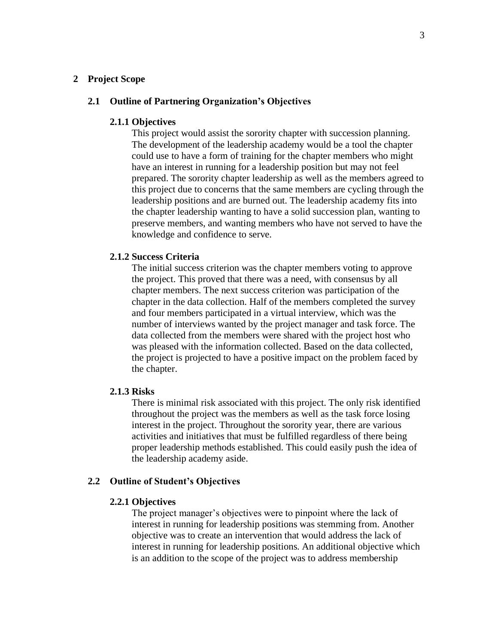#### **2 Project Scope**

#### **2.1 Outline of Partnering Organization's Objectives**

#### **2.1.1 Objectives**

This project would assist the sorority chapter with succession planning. The development of the leadership academy would be a tool the chapter could use to have a form of training for the chapter members who might have an interest in running for a leadership position but may not feel prepared. The sorority chapter leadership as well as the members agreed to this project due to concerns that the same members are cycling through the leadership positions and are burned out. The leadership academy fits into the chapter leadership wanting to have a solid succession plan, wanting to preserve members, and wanting members who have not served to have the knowledge and confidence to serve.

#### **2.1.2 Success Criteria**

The initial success criterion was the chapter members voting to approve the project. This proved that there was a need, with consensus by all chapter members. The next success criterion was participation of the chapter in the data collection. Half of the members completed the survey and four members participated in a virtual interview, which was the number of interviews wanted by the project manager and task force. The data collected from the members were shared with the project host who was pleased with the information collected. Based on the data collected, the project is projected to have a positive impact on the problem faced by the chapter.

#### **2.1.3 Risks**

There is minimal risk associated with this project. The only risk identified throughout the project was the members as well as the task force losing interest in the project. Throughout the sorority year, there are various activities and initiatives that must be fulfilled regardless of there being proper leadership methods established. This could easily push the idea of the leadership academy aside.

#### **2.2 Outline of Student's Objectives**

#### **2.2.1 Objectives**

The project manager's objectives were to pinpoint where the lack of interest in running for leadership positions was stemming from. Another objective was to create an intervention that would address the lack of interest in running for leadership positions. An additional objective which is an addition to the scope of the project was to address membership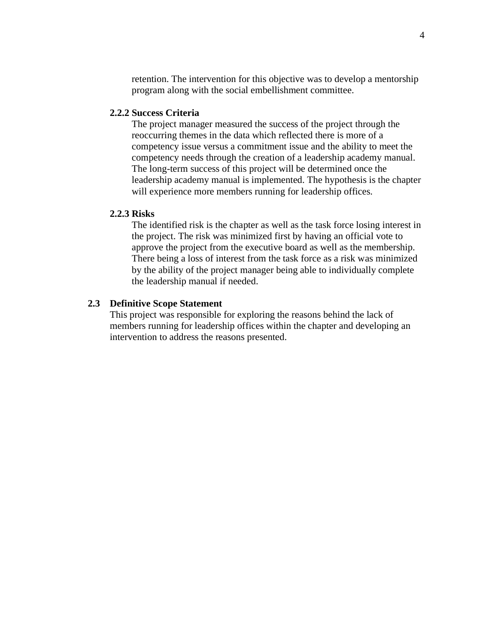retention. The intervention for this objective was to develop a mentorship program along with the social embellishment committee.

#### **2.2.2 Success Criteria**

The project manager measured the success of the project through the reoccurring themes in the data which reflected there is more of a competency issue versus a commitment issue and the ability to meet the competency needs through the creation of a leadership academy manual. The long-term success of this project will be determined once the leadership academy manual is implemented. The hypothesis is the chapter will experience more members running for leadership offices.

#### **2.2.3 Risks**

The identified risk is the chapter as well as the task force losing interest in the project. The risk was minimized first by having an official vote to approve the project from the executive board as well as the membership. There being a loss of interest from the task force as a risk was minimized by the ability of the project manager being able to individually complete the leadership manual if needed.

#### **2.3 Definitive Scope Statement**

This project was responsible for exploring the reasons behind the lack of members running for leadership offices within the chapter and developing an intervention to address the reasons presented.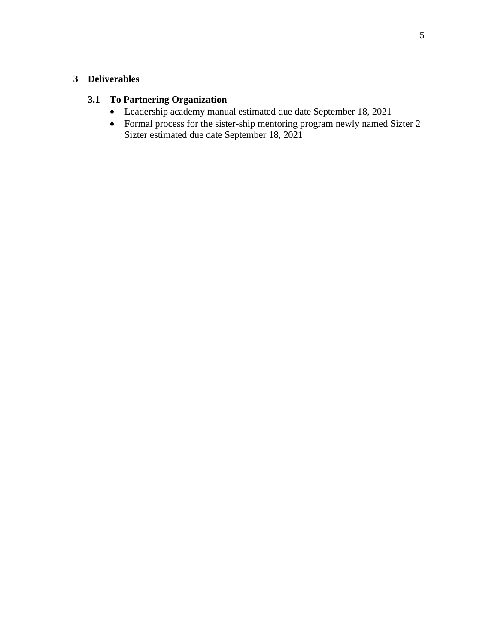#### **3 Deliverables**

#### **3.1 To Partnering Organization**

- Leadership academy manual estimated due date September 18, 2021
- Formal process for the sister-ship mentoring program newly named Sizter 2 Sizter estimated due date September 18, 2021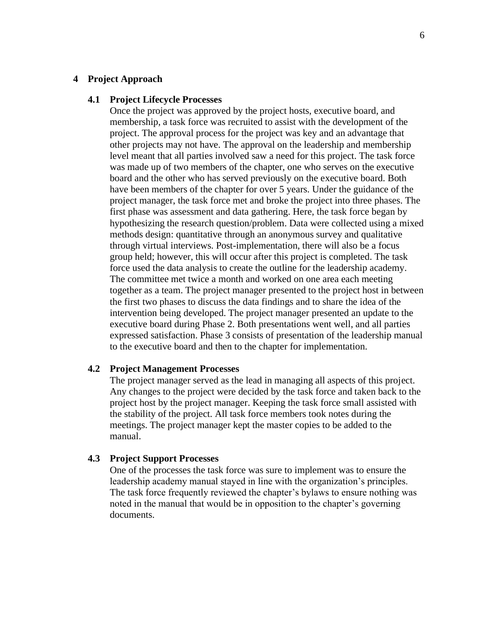#### **4 Project Approach**

#### **4.1 Project Lifecycle Processes**

Once the project was approved by the project hosts, executive board, and membership, a task force was recruited to assist with the development of the project. The approval process for the project was key and an advantage that other projects may not have. The approval on the leadership and membership level meant that all parties involved saw a need for this project. The task force was made up of two members of the chapter, one who serves on the executive board and the other who has served previously on the executive board. Both have been members of the chapter for over 5 years. Under the guidance of the project manager, the task force met and broke the project into three phases. The first phase was assessment and data gathering. Here, the task force began by hypothesizing the research question/problem. Data were collected using a mixed methods design: quantitative through an anonymous survey and qualitative through virtual interviews. Post-implementation, there will also be a focus group held; however, this will occur after this project is completed. The task force used the data analysis to create the outline for the leadership academy. The committee met twice a month and worked on one area each meeting together as a team. The project manager presented to the project host in between the first two phases to discuss the data findings and to share the idea of the intervention being developed. The project manager presented an update to the executive board during Phase 2. Both presentations went well, and all parties expressed satisfaction. Phase 3 consists of presentation of the leadership manual to the executive board and then to the chapter for implementation.

#### **4.2 Project Management Processes**

The project manager served as the lead in managing all aspects of this project. Any changes to the project were decided by the task force and taken back to the project host by the project manager. Keeping the task force small assisted with the stability of the project. All task force members took notes during the meetings. The project manager kept the master copies to be added to the manual.

#### **4.3 Project Support Processes**

One of the processes the task force was sure to implement was to ensure the leadership academy manual stayed in line with the organization's principles. The task force frequently reviewed the chapter's bylaws to ensure nothing was noted in the manual that would be in opposition to the chapter's governing documents.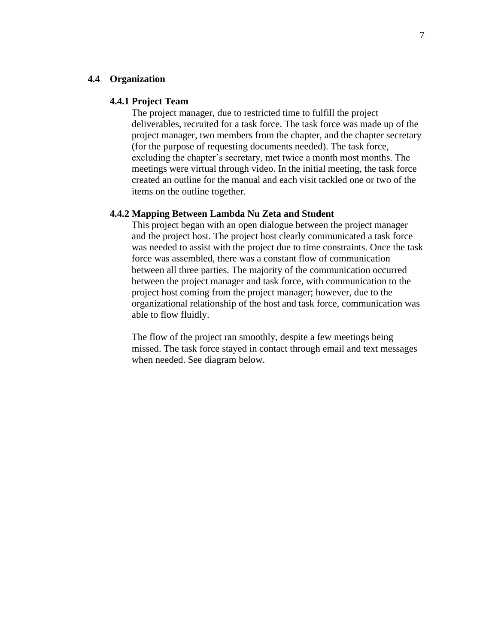#### **4.4 Organization**

#### **4.4.1 Project Team**

The project manager, due to restricted time to fulfill the project deliverables, recruited for a task force. The task force was made up of the project manager, two members from the chapter, and the chapter secretary (for the purpose of requesting documents needed). The task force, excluding the chapter's secretary, met twice a month most months. The meetings were virtual through video. In the initial meeting, the task force created an outline for the manual and each visit tackled one or two of the items on the outline together.

#### **4.4.2 Mapping Between Lambda Nu Zeta and Student**

This project began with an open dialogue between the project manager and the project host. The project host clearly communicated a task force was needed to assist with the project due to time constraints. Once the task force was assembled, there was a constant flow of communication between all three parties. The majority of the communication occurred between the project manager and task force, with communication to the project host coming from the project manager; however, due to the organizational relationship of the host and task force, communication was able to flow fluidly.

The flow of the project ran smoothly, despite a few meetings being missed. The task force stayed in contact through email and text messages when needed. See diagram below.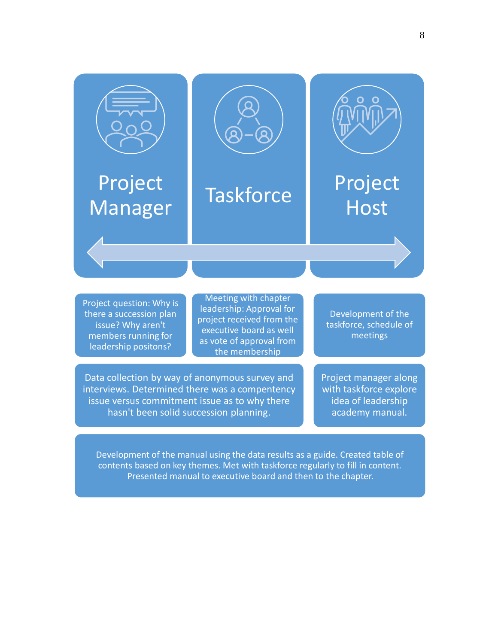

Project question: Why is there a succession plan issue? Why aren't members running for leadership positons?

Meeting with chapter leadership: Approval for project received from the executive board as well as vote of approval from the membership

Development of the taskforce, schedule of meetings

Data collection by way of anonymous survey and interviews. Determined there was a compentency issue versus commitment issue as to why there hasn't been solid succession planning.

Project manager along with taskforce explore idea of leadership academy manual.

Development of the manual using the data results as a guide. Created table of contents based on key themes. Met with taskforce regularly to fill in content. Presented manual to executive board and then to the chapter.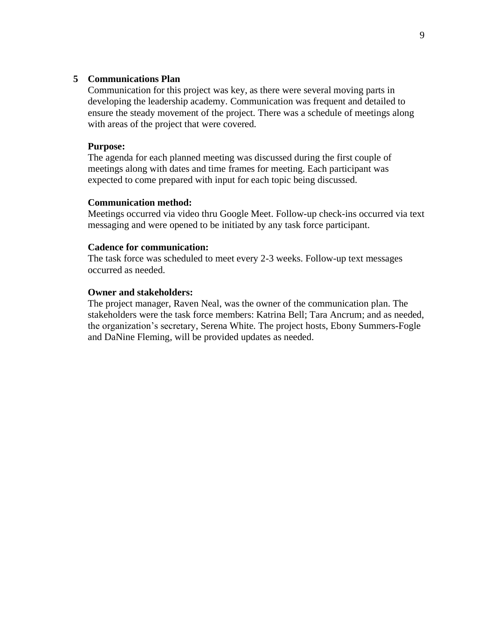#### **5 Communications Plan**

Communication for this project was key, as there were several moving parts in developing the leadership academy. Communication was frequent and detailed to ensure the steady movement of the project. There was a schedule of meetings along with areas of the project that were covered.

#### **Purpose:**

The agenda for each planned meeting was discussed during the first couple of meetings along with dates and time frames for meeting. Each participant was expected to come prepared with input for each topic being discussed.

#### **Communication method:**

Meetings occurred via video thru Google Meet. Follow-up check-ins occurred via text messaging and were opened to be initiated by any task force participant.

#### **Cadence for communication:**

The task force was scheduled to meet every 2-3 weeks. Follow-up text messages occurred as needed.

#### **Owner and stakeholders:**

The project manager, Raven Neal, was the owner of the communication plan. The stakeholders were the task force members: Katrina Bell; Tara Ancrum; and as needed, the organization's secretary, Serena White. The project hosts, Ebony Summers-Fogle and DaNine Fleming, will be provided updates as needed.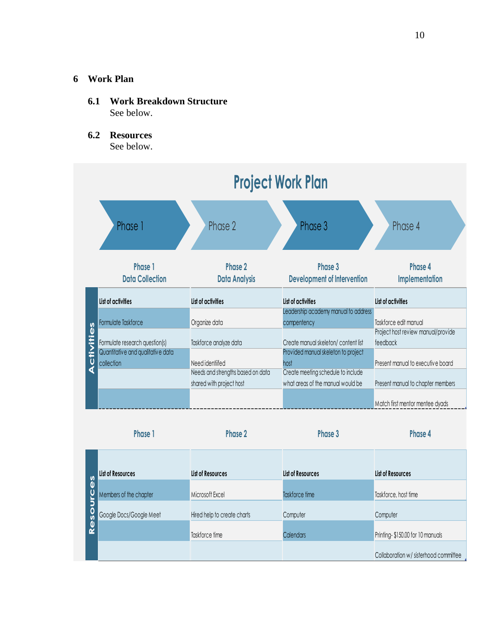#### **6 Work Plan**

- **6.1 Work Breakdown Structure** See below.
- **6.2 Resources** See below.

| <b>Project Work Plan</b>                                            |                                   |                                                                            |                                    |
|---------------------------------------------------------------------|-----------------------------------|----------------------------------------------------------------------------|------------------------------------|
| Phase 1                                                             | Phase 2                           | Phase 3                                                                    | Phase 4                            |
| Phase 1<br><b>Data Collection</b>                                   | Phase 2<br><b>Data Analysis</b>   | Phase 3<br><b>Development of Intervention</b>                              | Phase 4<br><b>Implementation</b>   |
| List of activities                                                  | List of activities                | List of activities                                                         | List of activities                 |
| Formulate Taskforce                                                 | Organize data                     | Leadership academy manual to address<br>compentency                        | Taskforce edit manual              |
|                                                                     |                                   |                                                                            | Project host review manual/provide |
| Formulate research question(s)<br>Quantitative and qualitative data | Taskforce analyze data            | Create manual skeleton/content list<br>Provided manual skeleton to project | feedback                           |
| collection                                                          | Need identiifed                   | host                                                                       | Present manual to executive board  |
|                                                                     | Needs and strengths based on data | Create meeting schedule to include                                         |                                    |
|                                                                     | shared with project host          | what areas of the manual would be                                          | Present manual to chapter members  |
|                                                                     |                                   |                                                                            | Match first mentor mentee dyads    |

|                                | Phase 1                 | Phase 2                     | Phase 3           | Phase 4                               |
|--------------------------------|-------------------------|-----------------------------|-------------------|---------------------------------------|
|                                | List of Resources       | List of Resources           | List of Resources | List of Resources                     |
| $\frac{8}{3}$<br><b>U</b><br>J | Members of the chapter  | Microsoft Excel             | Taskforce time    | Taskforce, host time                  |
|                                | Google Docs/Google Meet | Hired help to create charts | Computer          | Computer                              |
| Reso                           |                         | Taskforce time              | <b>Calendars</b>  | Printing-\$150.00 for 10 manuals      |
|                                |                         |                             |                   | Collaboration w/ sisterhood committee |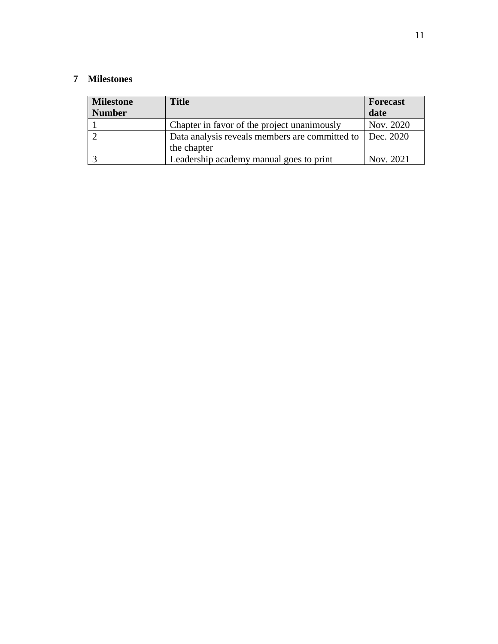#### **7 Milestones**

| <b>Milestone</b><br><b>Number</b> | <b>Title</b>                                               | <b>Forecast</b><br>date |
|-----------------------------------|------------------------------------------------------------|-------------------------|
|                                   | Chapter in favor of the project unanimously                | Nov. 2020               |
|                                   | Data analysis reveals members are committed to   Dec. 2020 |                         |
|                                   | the chapter                                                |                         |
|                                   | Leadership academy manual goes to print                    | Nov. 2021               |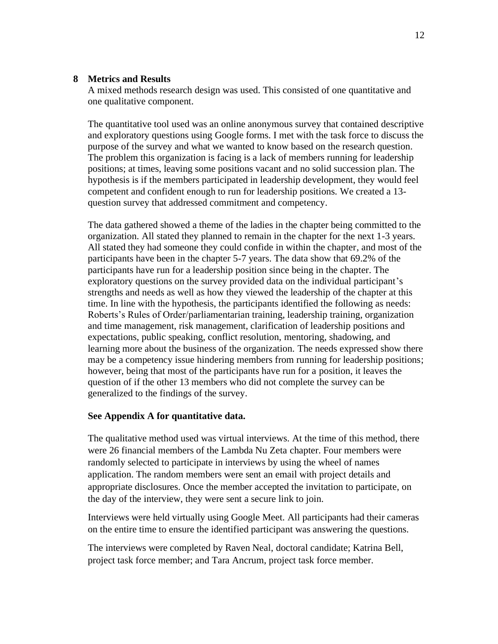#### **8 Metrics and Results**

A mixed methods research design was used. This consisted of one quantitative and one qualitative component.

The quantitative tool used was an online anonymous survey that contained descriptive and exploratory questions using Google forms. I met with the task force to discuss the purpose of the survey and what we wanted to know based on the research question. The problem this organization is facing is a lack of members running for leadership positions; at times, leaving some positions vacant and no solid succession plan. The hypothesis is if the members participated in leadership development, they would feel competent and confident enough to run for leadership positions. We created a 13 question survey that addressed commitment and competency.

The data gathered showed a theme of the ladies in the chapter being committed to the organization. All stated they planned to remain in the chapter for the next 1-3 years. All stated they had someone they could confide in within the chapter, and most of the participants have been in the chapter 5-7 years. The data show that 69.2% of the participants have run for a leadership position since being in the chapter. The exploratory questions on the survey provided data on the individual participant's strengths and needs as well as how they viewed the leadership of the chapter at this time. In line with the hypothesis, the participants identified the following as needs: Roberts's Rules of Order/parliamentarian training, leadership training, organization and time management, risk management, clarification of leadership positions and expectations, public speaking, conflict resolution, mentoring, shadowing, and learning more about the business of the organization. The needs expressed show there may be a competency issue hindering members from running for leadership positions; however, being that most of the participants have run for a position, it leaves the question of if the other 13 members who did not complete the survey can be generalized to the findings of the survey.

#### **See Appendix A for quantitative data.**

The qualitative method used was virtual interviews. At the time of this method, there were 26 financial members of the Lambda Nu Zeta chapter. Four members were randomly selected to participate in interviews by using the wheel of names application. The random members were sent an email with project details and appropriate disclosures. Once the member accepted the invitation to participate, on the day of the interview, they were sent a secure link to join.

Interviews were held virtually using Google Meet. All participants had their cameras on the entire time to ensure the identified participant was answering the questions.

The interviews were completed by Raven Neal, doctoral candidate; Katrina Bell, project task force member; and Tara Ancrum, project task force member.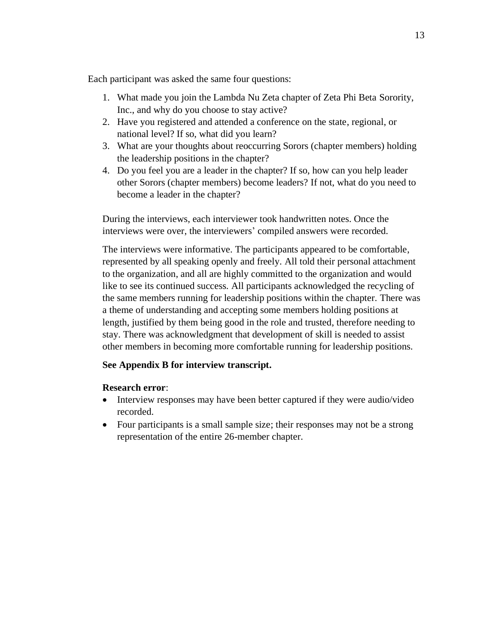Each participant was asked the same four questions:

- 1. What made you join the Lambda Nu Zeta chapter of Zeta Phi Beta Sorority, Inc., and why do you choose to stay active?
- 2. Have you registered and attended a conference on the state, regional, or national level? If so, what did you learn?
- 3. What are your thoughts about reoccurring Sorors (chapter members) holding the leadership positions in the chapter?
- 4. Do you feel you are a leader in the chapter? If so, how can you help leader other Sorors (chapter members) become leaders? If not, what do you need to become a leader in the chapter?

During the interviews, each interviewer took handwritten notes. Once the interviews were over, the interviewers' compiled answers were recorded.

The interviews were informative. The participants appeared to be comfortable, represented by all speaking openly and freely. All told their personal attachment to the organization, and all are highly committed to the organization and would like to see its continued success. All participants acknowledged the recycling of the same members running for leadership positions within the chapter. There was a theme of understanding and accepting some members holding positions at length, justified by them being good in the role and trusted, therefore needing to stay. There was acknowledgment that development of skill is needed to assist other members in becoming more comfortable running for leadership positions.

#### **See Appendix B for interview transcript.**

#### **Research error**:

- Interview responses may have been better captured if they were audio/video recorded.
- Four participants is a small sample size; their responses may not be a strong representation of the entire 26-member chapter.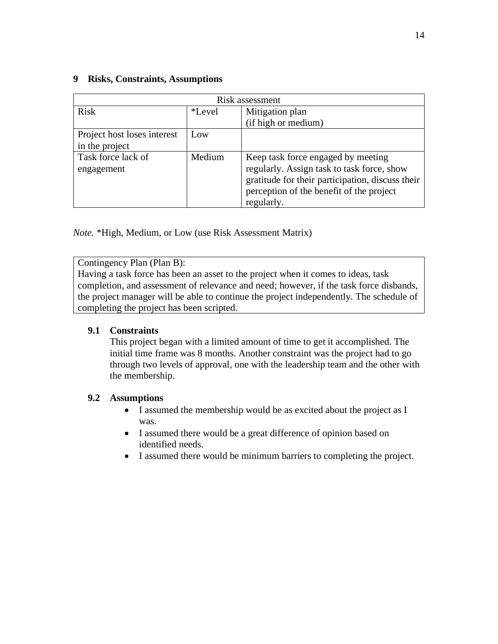#### **9 Risks, Constraints, Assumptions** Risk assessment Risk **Figure 1** \*Level Mitigation plan (if high or medium) Project host loses interest in the project Low

Task force lack of engagement Medium | Keep task force engaged by meeting regularly. Assign task to task force, show gratitude for their participation, discuss their perception of the benefit of the project regularly.

*Note.* \*High, Medium, or Low (use Risk Assessment Matrix)

Contingency Plan (Plan B):

Having a task force has been an asset to the project when it comes to ideas, task completion, and assessment of relevance and need; however, if the task force disbands, the project manager will be able to continue the project independently. The schedule of completing the project has been scripted.

#### **9.1 Constraints**

This project began with a limited amount of time to get it accomplished. The initial time frame was 8 months. Another constraint was the project had to go through two levels of approval, one with the leadership team and the other with the membership.

#### **9.2 Assumptions**

- I assumed the membership would be as excited about the project as I was.
- I assumed there would be a great difference of opinion based on identified needs.
- I assumed there would be minimum barriers to completing the project.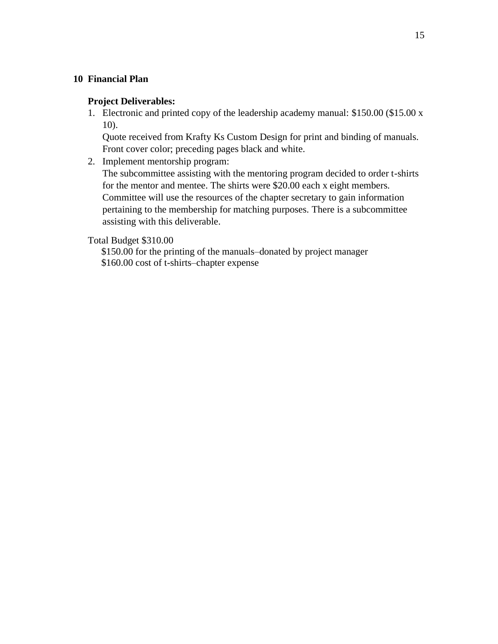#### **10 Financial Plan**

#### **Project Deliverables:**

1. Electronic and printed copy of the leadership academy manual: \$150.00 (\$15.00 x 10).

Quote received from Krafty Ks Custom Design for print and binding of manuals. Front cover color; preceding pages black and white.

2. Implement mentorship program:

The subcommittee assisting with the mentoring program decided to order t-shirts for the mentor and mentee. The shirts were \$20.00 each x eight members. Committee will use the resources of the chapter secretary to gain information pertaining to the membership for matching purposes. There is a subcommittee assisting with this deliverable.

Total Budget \$310.00

\$150.00 for the printing of the manuals–donated by project manager \$160.00 cost of t-shirts–chapter expense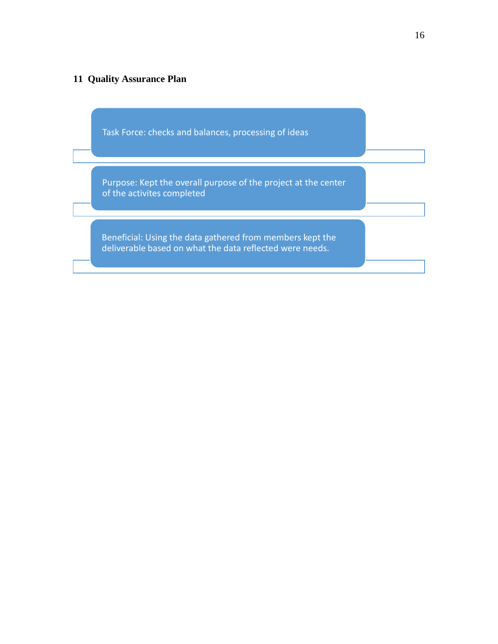#### **11 Quality Assurance Plan**

Task Force: checks and balances, processing of ideas

Purpose: Kept the overall purpose of the project at the center of the activites completed

Beneficial: Using the data gathered from members kept the deliverable based on what the data reflected were needs.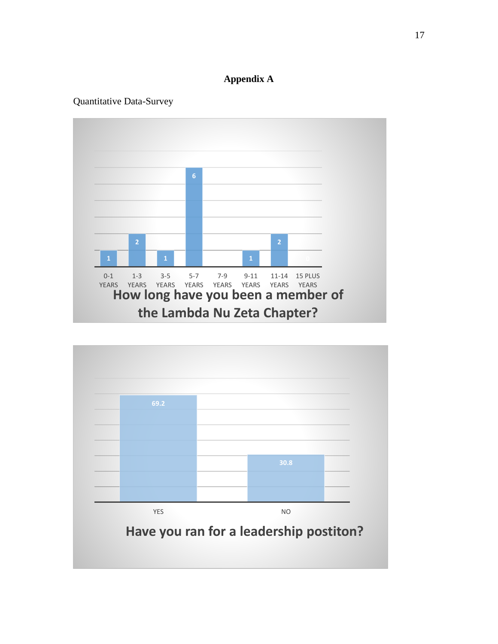#### **Appendix A**

#### Quantitative Data-Survey



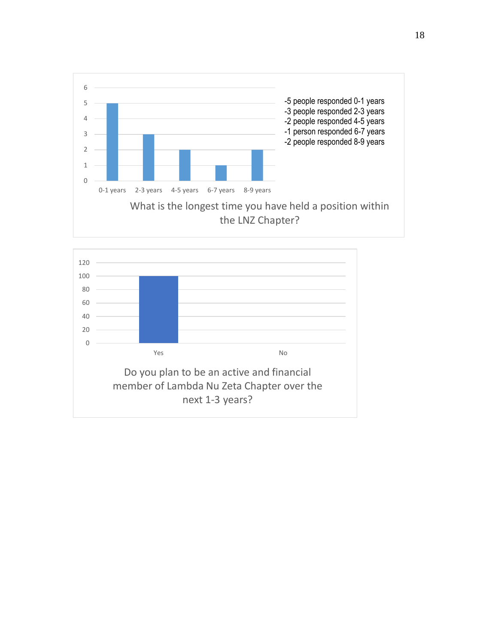

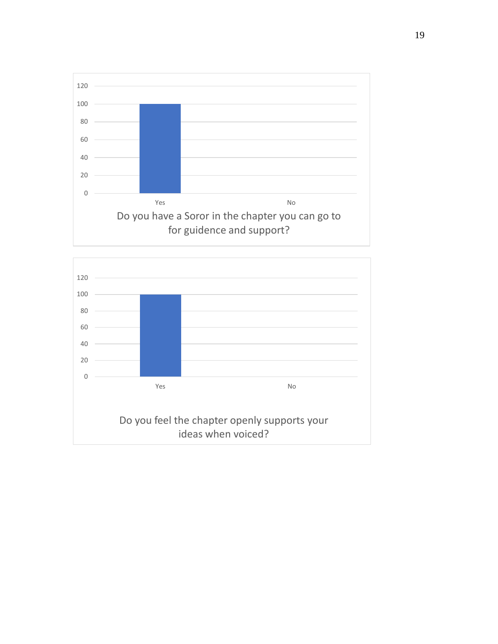

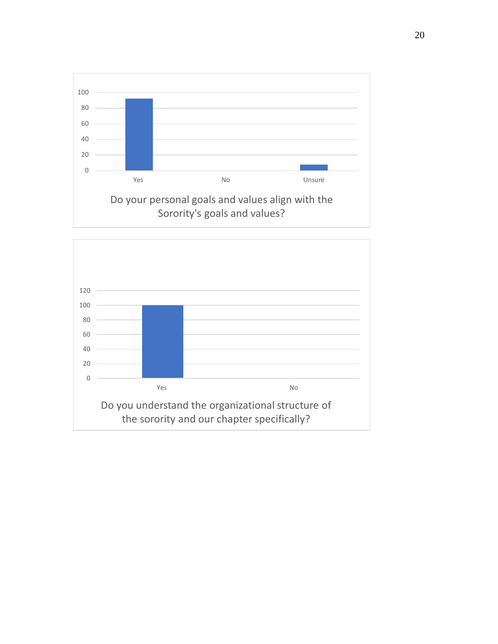

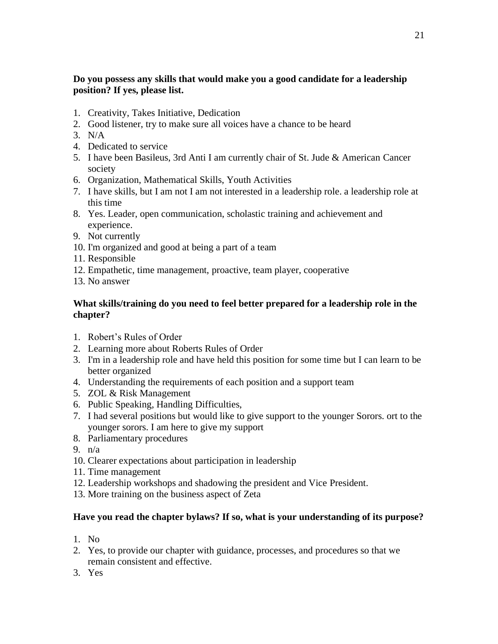#### **Do you possess any skills that would make you a good candidate for a leadership position? If yes, please list.**

- 1. Creativity, Takes Initiative, Dedication
- 2. Good listener, try to make sure all voices have a chance to be heard
- 3. N/A
- 4. Dedicated to service
- 5. I have been Basileus, 3rd Anti I am currently chair of St. Jude & American Cancer society
- 6. Organization, Mathematical Skills, Youth Activities
- 7. I have skills, but I am not I am not interested in a leadership role. a leadership role at this time
- 8. Yes. Leader, open communication, scholastic training and achievement and experience.
- 9. Not currently
- 10. I'm organized and good at being a part of a team
- 11. Responsible
- 12. Empathetic, time management, proactive, team player, cooperative
- 13. No answer

#### **What skills/training do you need to feel better prepared for a leadership role in the chapter?**

- 1. Robert's Rules of Order
- 2. Learning more about Roberts Rules of Order
- 3. I'm in a leadership role and have held this position for some time but I can learn to be better organized
- 4. Understanding the requirements of each position and a support team
- 5. ZOL & Risk Management
- 6. Public Speaking, Handling Difficulties,
- 7. I had several positions but would like to give support to the younger Sorors. ort to the younger sorors. I am here to give my support
- 8. Parliamentary procedures
- 9. n/a
- 10. Clearer expectations about participation in leadership
- 11. Time management
- 12. Leadership workshops and shadowing the president and Vice President.
- 13. More training on the business aspect of Zeta

#### **Have you read the chapter bylaws? If so, what is your understanding of its purpose?**

- 1. No
- 2. Yes, to provide our chapter with guidance, processes, and procedures so that we remain consistent and effective.
- 3. Yes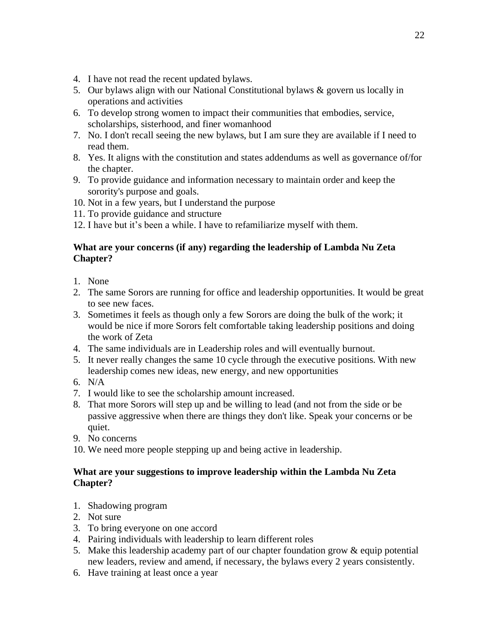- 4. I have not read the recent updated bylaws.
- 5. Our bylaws align with our National Constitutional bylaws & govern us locally in operations and activities
- 6. To develop strong women to impact their communities that embodies, service, scholarships, sisterhood, and finer womanhood
- 7. No. I don't recall seeing the new bylaws, but I am sure they are available if I need to read them.
- 8. Yes. It aligns with the constitution and states addendums as well as governance of/for the chapter.
- 9. To provide guidance and information necessary to maintain order and keep the sorority's purpose and goals.
- 10. Not in a few years, but I understand the purpose
- 11. To provide guidance and structure
- 12. I have but it's been a while. I have to refamiliarize myself with them.

#### **What are your concerns (if any) regarding the leadership of Lambda Nu Zeta Chapter?**

- 1. None
- 2. The same Sorors are running for office and leadership opportunities. It would be great to see new faces.
- 3. Sometimes it feels as though only a few Sorors are doing the bulk of the work; it would be nice if more Sorors felt comfortable taking leadership positions and doing the work of Zeta
- 4. The same individuals are in Leadership roles and will eventually burnout.
- 5. It never really changes the same 10 cycle through the executive positions. With new leadership comes new ideas, new energy, and new opportunities
- 6. N/A
- 7. I would like to see the scholarship amount increased.
- 8. That more Sorors will step up and be willing to lead (and not from the side or be passive aggressive when there are things they don't like. Speak your concerns or be quiet.
- 9. No concerns
- 10. We need more people stepping up and being active in leadership.

#### **What are your suggestions to improve leadership within the Lambda Nu Zeta Chapter?**

- 1. Shadowing program
- 2. Not sure
- 3. To bring everyone on one accord
- 4. Pairing individuals with leadership to learn different roles
- 5. Make this leadership academy part of our chapter foundation grow & equip potential new leaders, review and amend, if necessary, the bylaws every 2 years consistently.
- 6. Have training at least once a year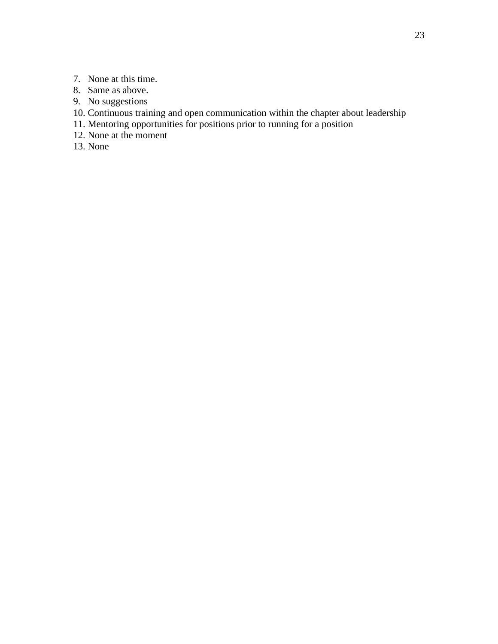- 7. None at this time.
- 8. Same as above.
- 9. No suggestions
- 10. Continuous training and open communication within the chapter about leadership
- 11. Mentoring opportunities for positions prior to running for a position
- 12. None at the moment
- 13. None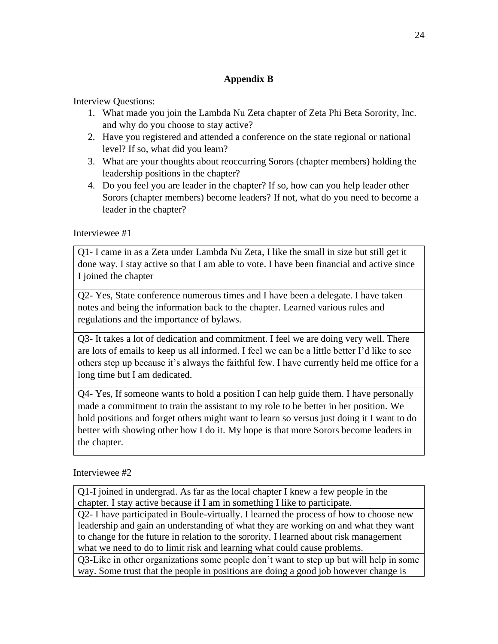#### **Appendix B**

Interview Questions:

- 1. What made you join the Lambda Nu Zeta chapter of Zeta Phi Beta Sorority, Inc. and why do you choose to stay active?
- 2. Have you registered and attended a conference on the state regional or national level? If so, what did you learn?
- 3. What are your thoughts about reoccurring Sorors (chapter members) holding the leadership positions in the chapter?
- 4. Do you feel you are leader in the chapter? If so, how can you help leader other Sorors (chapter members) become leaders? If not, what do you need to become a leader in the chapter?

Interviewee #1

Q1- I came in as a Zeta under Lambda Nu Zeta, I like the small in size but still get it done way. I stay active so that I am able to vote. I have been financial and active since I joined the chapter

Q2- Yes, State conference numerous times and I have been a delegate. I have taken notes and being the information back to the chapter. Learned various rules and regulations and the importance of bylaws.

Q3- It takes a lot of dedication and commitment. I feel we are doing very well. There are lots of emails to keep us all informed. I feel we can be a little better I'd like to see others step up because it's always the faithful few. I have currently held me office for a long time but I am dedicated.

Q4- Yes, If someone wants to hold a position I can help guide them. I have personally made a commitment to train the assistant to my role to be better in her position. We hold positions and forget others might want to learn so versus just doing it I want to do better with showing other how I do it. My hope is that more Sorors become leaders in the chapter.

Interviewee #2

Q1-I joined in undergrad. As far as the local chapter I knew a few people in the chapter. I stay active because if I am in something I like to participate.

Q2- I have participated in Boule-virtually. I learned the process of how to choose new leadership and gain an understanding of what they are working on and what they want to change for the future in relation to the sorority. I learned about risk management what we need to do to limit risk and learning what could cause problems.

Q3-Like in other organizations some people don't want to step up but will help in some way. Some trust that the people in positions are doing a good job however change is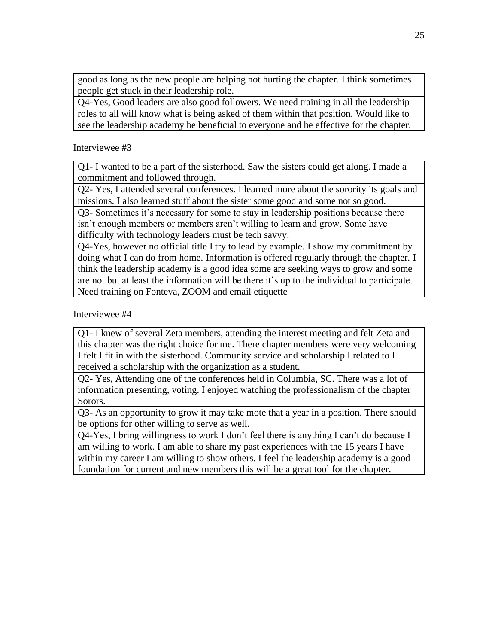good as long as the new people are helping not hurting the chapter. I think sometimes people get stuck in their leadership role.

Q4-Yes, Good leaders are also good followers. We need training in all the leadership roles to all will know what is being asked of them within that position. Would like to see the leadership academy be beneficial to everyone and be effective for the chapter.

Interviewee #3

Q1- I wanted to be a part of the sisterhood. Saw the sisters could get along. I made a commitment and followed through.

Q2- Yes, I attended several conferences. I learned more about the sorority its goals and missions. I also learned stuff about the sister some good and some not so good.

Q3- Sometimes it's necessary for some to stay in leadership positions because there isn't enough members or members aren't willing to learn and grow. Some have difficulty with technology leaders must be tech savvy.

Q4-Yes, however no official title I try to lead by example. I show my commitment by doing what I can do from home. Information is offered regularly through the chapter. I think the leadership academy is a good idea some are seeking ways to grow and some are not but at least the information will be there it's up to the individual to participate. Need training on Fonteva, ZOOM and email etiquette

Interviewee #4

Q1- I knew of several Zeta members, attending the interest meeting and felt Zeta and this chapter was the right choice for me. There chapter members were very welcoming I felt I fit in with the sisterhood. Community service and scholarship I related to I received a scholarship with the organization as a student.

Q2- Yes, Attending one of the conferences held in Columbia, SC. There was a lot of information presenting, voting. I enjoyed watching the professionalism of the chapter Sorors.

Q3- As an opportunity to grow it may take mote that a year in a position. There should be options for other willing to serve as well.

Q4-Yes, I bring willingness to work I don't feel there is anything I can't do because I am willing to work. I am able to share my past experiences with the 15 years I have within my career I am willing to show others. I feel the leadership academy is a good foundation for current and new members this will be a great tool for the chapter.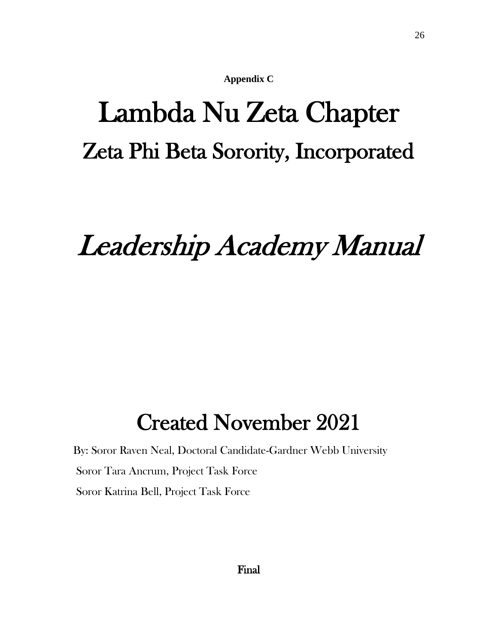**Appendix C**

# Lambda Nu Zeta Chapter Zeta Phi Beta Sorority, Incorporated

# Leadership Academy Manual

# Created November 2021

By: Soror Raven Neal, Doctoral Candidate-Gardner Webb University Soror Tara Ancrum, Project Task Force Soror Katrina Bell, Project Task Force

Final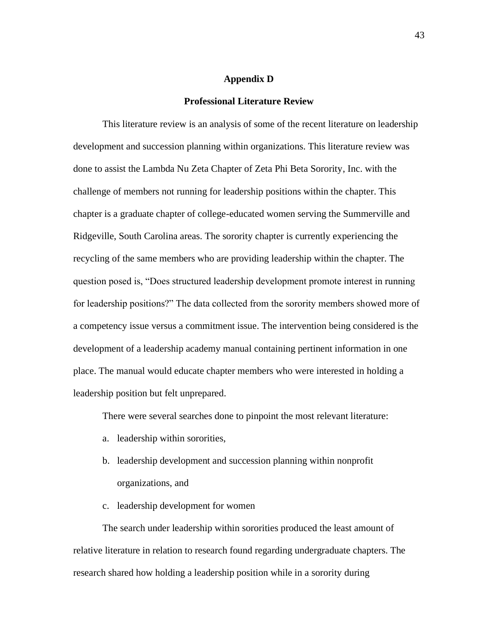#### **Appendix D**

#### **Professional Literature Review**

This literature review is an analysis of some of the recent literature on leadership development and succession planning within organizations. This literature review was done to assist the Lambda Nu Zeta Chapter of Zeta Phi Beta Sorority, Inc. with the challenge of members not running for leadership positions within the chapter. This chapter is a graduate chapter of college-educated women serving the Summerville and Ridgeville, South Carolina areas. The sorority chapter is currently experiencing the recycling of the same members who are providing leadership within the chapter. The question posed is, "Does structured leadership development promote interest in running for leadership positions?" The data collected from the sorority members showed more of a competency issue versus a commitment issue. The intervention being considered is the development of a leadership academy manual containing pertinent information in one place. The manual would educate chapter members who were interested in holding a leadership position but felt unprepared.

There were several searches done to pinpoint the most relevant literature:

- a. leadership within sororities,
- b. leadership development and succession planning within nonprofit organizations, and
- c. leadership development for women

The search under leadership within sororities produced the least amount of relative literature in relation to research found regarding undergraduate chapters. The research shared how holding a leadership position while in a sorority during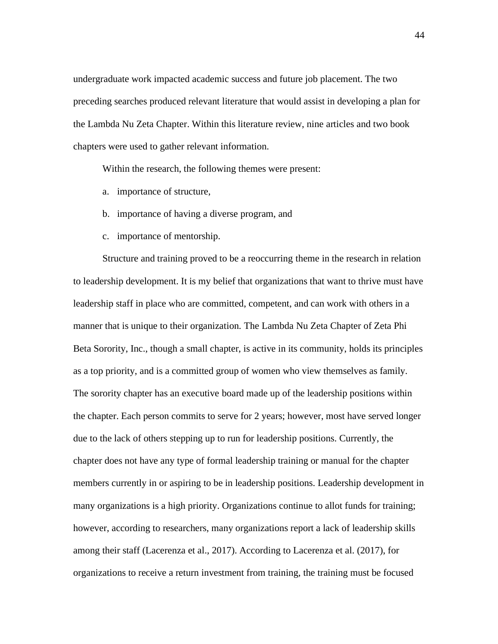undergraduate work impacted academic success and future job placement. The two preceding searches produced relevant literature that would assist in developing a plan for the Lambda Nu Zeta Chapter. Within this literature review, nine articles and two book chapters were used to gather relevant information.

Within the research, the following themes were present:

- a. importance of structure,
- b. importance of having a diverse program, and
- c. importance of mentorship.

Structure and training proved to be a reoccurring theme in the research in relation to leadership development. It is my belief that organizations that want to thrive must have leadership staff in place who are committed, competent, and can work with others in a manner that is unique to their organization. The Lambda Nu Zeta Chapter of Zeta Phi Beta Sorority, Inc., though a small chapter, is active in its community, holds its principles as a top priority, and is a committed group of women who view themselves as family. The sorority chapter has an executive board made up of the leadership positions within the chapter. Each person commits to serve for 2 years; however, most have served longer due to the lack of others stepping up to run for leadership positions. Currently, the chapter does not have any type of formal leadership training or manual for the chapter members currently in or aspiring to be in leadership positions. Leadership development in many organizations is a high priority. Organizations continue to allot funds for training; however, according to researchers, many organizations report a lack of leadership skills among their staff (Lacerenza et al., 2017). According to Lacerenza et al. (2017), for organizations to receive a return investment from training, the training must be focused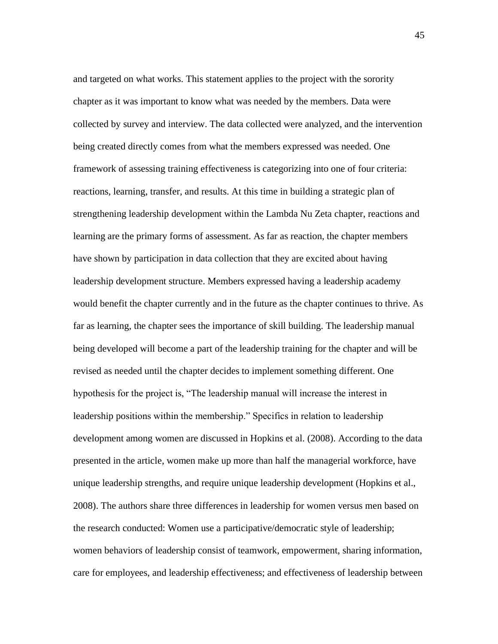and targeted on what works. This statement applies to the project with the sorority chapter as it was important to know what was needed by the members. Data were collected by survey and interview. The data collected were analyzed, and the intervention being created directly comes from what the members expressed was needed. One framework of assessing training effectiveness is categorizing into one of four criteria: reactions, learning, transfer, and results. At this time in building a strategic plan of strengthening leadership development within the Lambda Nu Zeta chapter, reactions and learning are the primary forms of assessment. As far as reaction, the chapter members have shown by participation in data collection that they are excited about having leadership development structure. Members expressed having a leadership academy would benefit the chapter currently and in the future as the chapter continues to thrive. As far as learning, the chapter sees the importance of skill building. The leadership manual being developed will become a part of the leadership training for the chapter and will be revised as needed until the chapter decides to implement something different. One hypothesis for the project is, "The leadership manual will increase the interest in leadership positions within the membership." Specifics in relation to leadership development among women are discussed in Hopkins et al. (2008). According to the data presented in the article, women make up more than half the managerial workforce, have unique leadership strengths, and require unique leadership development (Hopkins et al., 2008). The authors share three differences in leadership for women versus men based on the research conducted: Women use a participative/democratic style of leadership; women behaviors of leadership consist of teamwork, empowerment, sharing information, care for employees, and leadership effectiveness; and effectiveness of leadership between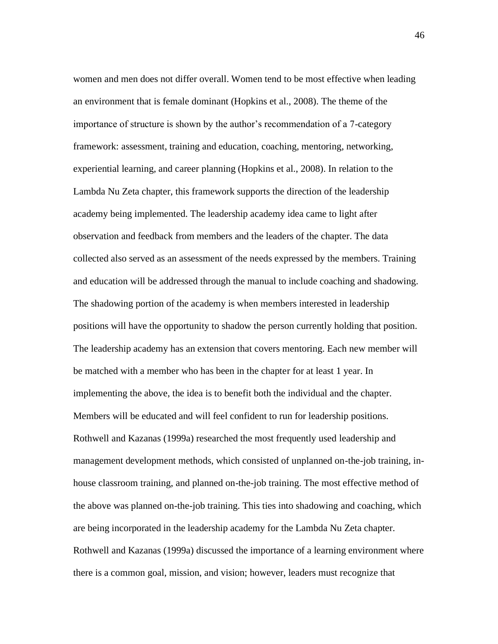women and men does not differ overall. Women tend to be most effective when leading an environment that is female dominant (Hopkins et al., 2008). The theme of the importance of structure is shown by the author's recommendation of a 7-category framework: assessment, training and education, coaching, mentoring, networking, experiential learning, and career planning (Hopkins et al., 2008). In relation to the Lambda Nu Zeta chapter, this framework supports the direction of the leadership academy being implemented. The leadership academy idea came to light after observation and feedback from members and the leaders of the chapter. The data collected also served as an assessment of the needs expressed by the members. Training and education will be addressed through the manual to include coaching and shadowing. The shadowing portion of the academy is when members interested in leadership positions will have the opportunity to shadow the person currently holding that position. The leadership academy has an extension that covers mentoring. Each new member will be matched with a member who has been in the chapter for at least 1 year. In implementing the above, the idea is to benefit both the individual and the chapter. Members will be educated and will feel confident to run for leadership positions. Rothwell and Kazanas (1999a) researched the most frequently used leadership and management development methods, which consisted of unplanned on-the-job training, inhouse classroom training, and planned on-the-job training. The most effective method of the above was planned on-the-job training. This ties into shadowing and coaching, which are being incorporated in the leadership academy for the Lambda Nu Zeta chapter. Rothwell and Kazanas (1999a) discussed the importance of a learning environment where there is a common goal, mission, and vision; however, leaders must recognize that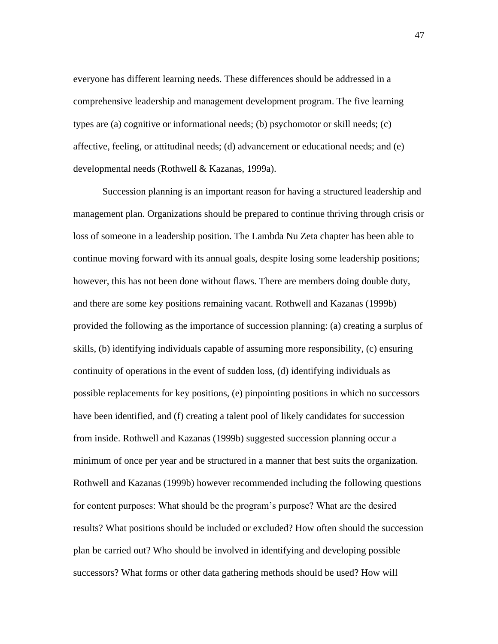everyone has different learning needs. These differences should be addressed in a comprehensive leadership and management development program. The five learning types are (a) cognitive or informational needs; (b) psychomotor or skill needs; (c) affective, feeling, or attitudinal needs; (d) advancement or educational needs; and (e) developmental needs (Rothwell & Kazanas, 1999a).

Succession planning is an important reason for having a structured leadership and management plan. Organizations should be prepared to continue thriving through crisis or loss of someone in a leadership position. The Lambda Nu Zeta chapter has been able to continue moving forward with its annual goals, despite losing some leadership positions; however, this has not been done without flaws. There are members doing double duty, and there are some key positions remaining vacant. Rothwell and Kazanas (1999b) provided the following as the importance of succession planning: (a) creating a surplus of skills, (b) identifying individuals capable of assuming more responsibility, (c) ensuring continuity of operations in the event of sudden loss, (d) identifying individuals as possible replacements for key positions, (e) pinpointing positions in which no successors have been identified, and (f) creating a talent pool of likely candidates for succession from inside. Rothwell and Kazanas (1999b) suggested succession planning occur a minimum of once per year and be structured in a manner that best suits the organization. Rothwell and Kazanas (1999b) however recommended including the following questions for content purposes: What should be the program's purpose? What are the desired results? What positions should be included or excluded? How often should the succession plan be carried out? Who should be involved in identifying and developing possible successors? What forms or other data gathering methods should be used? How will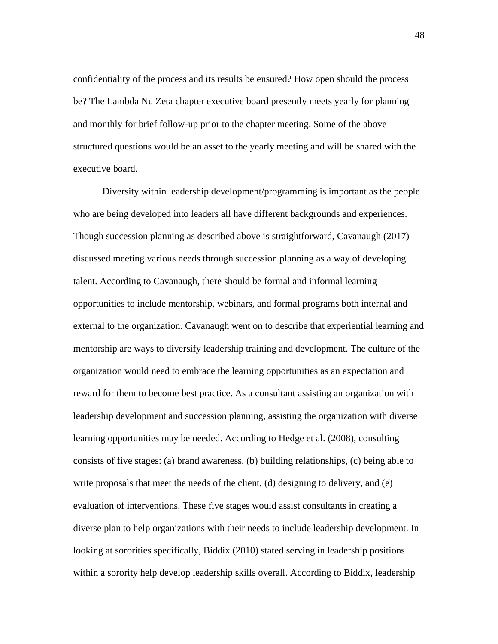confidentiality of the process and its results be ensured? How open should the process be? The Lambda Nu Zeta chapter executive board presently meets yearly for planning and monthly for brief follow-up prior to the chapter meeting. Some of the above structured questions would be an asset to the yearly meeting and will be shared with the executive board.

Diversity within leadership development/programming is important as the people who are being developed into leaders all have different backgrounds and experiences. Though succession planning as described above is straightforward, Cavanaugh (2017) discussed meeting various needs through succession planning as a way of developing talent. According to Cavanaugh, there should be formal and informal learning opportunities to include mentorship, webinars, and formal programs both internal and external to the organization. Cavanaugh went on to describe that experiential learning and mentorship are ways to diversify leadership training and development. The culture of the organization would need to embrace the learning opportunities as an expectation and reward for them to become best practice. As a consultant assisting an organization with leadership development and succession planning, assisting the organization with diverse learning opportunities may be needed. According to Hedge et al. (2008), consulting consists of five stages: (a) brand awareness, (b) building relationships, (c) being able to write proposals that meet the needs of the client, (d) designing to delivery, and (e) evaluation of interventions. These five stages would assist consultants in creating a diverse plan to help organizations with their needs to include leadership development. In looking at sororities specifically, Biddix (2010) stated serving in leadership positions within a sorority help develop leadership skills overall. According to Biddix, leadership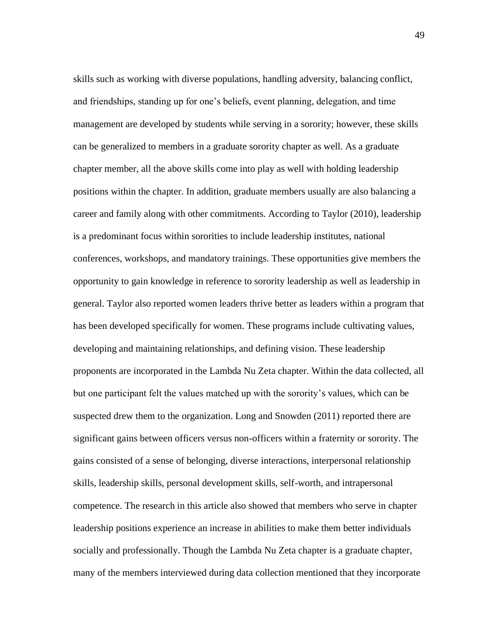skills such as working with diverse populations, handling adversity, balancing conflict, and friendships, standing up for one's beliefs, event planning, delegation, and time management are developed by students while serving in a sorority; however, these skills can be generalized to members in a graduate sorority chapter as well. As a graduate chapter member, all the above skills come into play as well with holding leadership positions within the chapter. In addition, graduate members usually are also balancing a career and family along with other commitments. According to Taylor (2010), leadership is a predominant focus within sororities to include leadership institutes, national conferences, workshops, and mandatory trainings. These opportunities give members the opportunity to gain knowledge in reference to sorority leadership as well as leadership in general. Taylor also reported women leaders thrive better as leaders within a program that has been developed specifically for women. These programs include cultivating values, developing and maintaining relationships, and defining vision. These leadership proponents are incorporated in the Lambda Nu Zeta chapter. Within the data collected, all but one participant felt the values matched up with the sorority's values, which can be suspected drew them to the organization. Long and Snowden (2011) reported there are significant gains between officers versus non-officers within a fraternity or sorority. The gains consisted of a sense of belonging, diverse interactions, interpersonal relationship skills, leadership skills, personal development skills, self-worth, and intrapersonal competence. The research in this article also showed that members who serve in chapter leadership positions experience an increase in abilities to make them better individuals socially and professionally. Though the Lambda Nu Zeta chapter is a graduate chapter, many of the members interviewed during data collection mentioned that they incorporate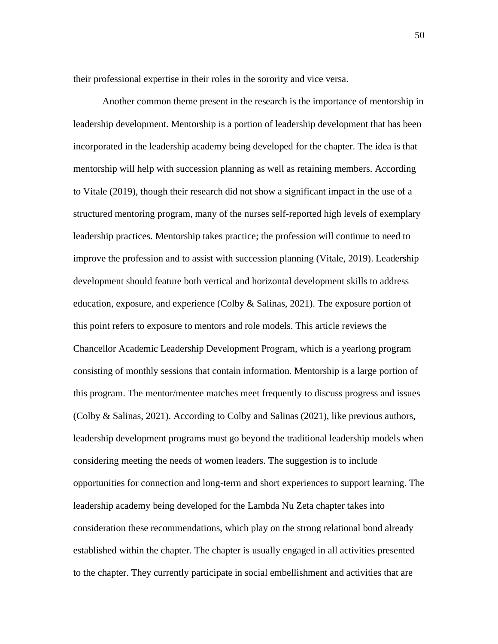their professional expertise in their roles in the sorority and vice versa.

Another common theme present in the research is the importance of mentorship in leadership development. Mentorship is a portion of leadership development that has been incorporated in the leadership academy being developed for the chapter. The idea is that mentorship will help with succession planning as well as retaining members. According to Vitale (2019), though their research did not show a significant impact in the use of a structured mentoring program, many of the nurses self-reported high levels of exemplary leadership practices. Mentorship takes practice; the profession will continue to need to improve the profession and to assist with succession planning (Vitale, 2019). Leadership development should feature both vertical and horizontal development skills to address education, exposure, and experience (Colby & Salinas, 2021). The exposure portion of this point refers to exposure to mentors and role models. This article reviews the Chancellor Academic Leadership Development Program, which is a yearlong program consisting of monthly sessions that contain information. Mentorship is a large portion of this program. The mentor/mentee matches meet frequently to discuss progress and issues (Colby & Salinas, 2021). According to Colby and Salinas (2021), like previous authors, leadership development programs must go beyond the traditional leadership models when considering meeting the needs of women leaders. The suggestion is to include opportunities for connection and long-term and short experiences to support learning. The leadership academy being developed for the Lambda Nu Zeta chapter takes into consideration these recommendations, which play on the strong relational bond already established within the chapter. The chapter is usually engaged in all activities presented to the chapter. They currently participate in social embellishment and activities that are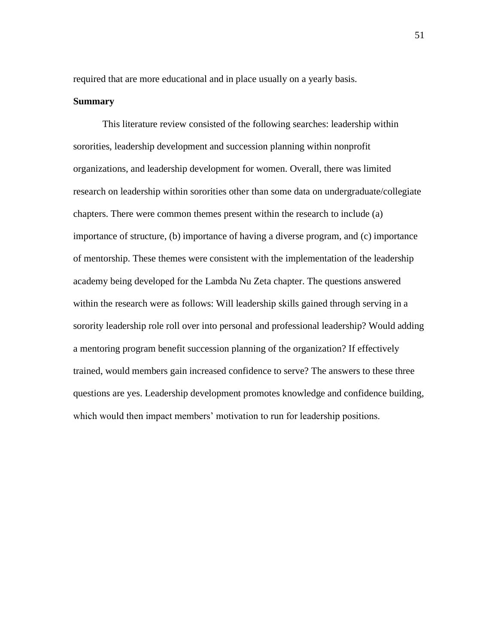required that are more educational and in place usually on a yearly basis.

#### **Summary**

This literature review consisted of the following searches: leadership within sororities, leadership development and succession planning within nonprofit organizations, and leadership development for women. Overall, there was limited research on leadership within sororities other than some data on undergraduate/collegiate chapters. There were common themes present within the research to include (a) importance of structure, (b) importance of having a diverse program, and (c) importance of mentorship. These themes were consistent with the implementation of the leadership academy being developed for the Lambda Nu Zeta chapter. The questions answered within the research were as follows: Will leadership skills gained through serving in a sorority leadership role roll over into personal and professional leadership? Would adding a mentoring program benefit succession planning of the organization? If effectively trained, would members gain increased confidence to serve? The answers to these three questions are yes. Leadership development promotes knowledge and confidence building, which would then impact members' motivation to run for leadership positions.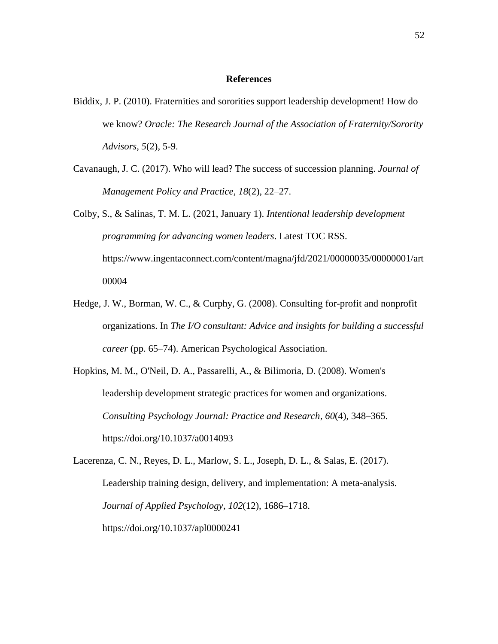#### **References**

- Biddix, J. P. (2010). Fraternities and sororities support leadership development! How do we know? *Oracle: The Research Journal of the Association of Fraternity/Sorority Advisors*, *5*(2), 5-9.
- Cavanaugh, J. C. (2017). Who will lead? The success of succession planning. *Journal of Management Policy and Practice, 18*(2), 22–27.

Colby, S., & Salinas, T. M. L. (2021, January 1). *Intentional leadership development programming for advancing women leaders*. Latest TOC RSS. https://www.ingentaconnect.com/content/magna/jfd/2021/00000035/00000001/art 00004

- Hedge, J. W., Borman, W. C., & Curphy, G. (2008). Consulting for-profit and nonprofit organizations. In *The I/O consultant: Advice and insights for building a successful career* (pp. 65–74). American Psychological Association.
- Hopkins, M. M., O'Neil, D. A., Passarelli, A., & Bilimoria, D. (2008). Women's leadership development strategic practices for women and organizations. *Consulting Psychology Journal: Practice and Research*, *60*(4), 348–365. https://doi.org/10.1037/a0014093

Lacerenza, C. N., Reyes, D. L., Marlow, S. L., Joseph, D. L., & Salas, E. (2017). Leadership training design, delivery, and implementation: A meta-analysis. *Journal of Applied Psychology*, *102*(12), 1686–1718. https://doi.org/10.1037/apl0000241